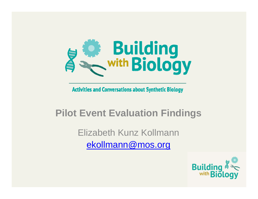

**Activities and Conversations about Synthetic Biology** 

#### **Pilot Event Evaluation Findings**

Elizabeth Kunz Kollmannekollmann@mos.org

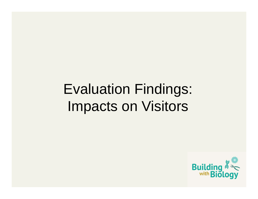# Evaluation Findings: Impacts on Visitors

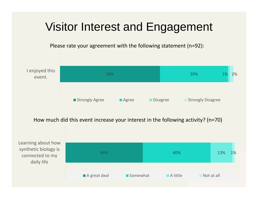### Visitor Interest and Engagement

Please rate your agreement with the following statement (n=92):

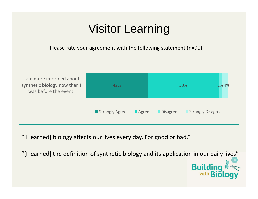### Visitor Learning

Please rate your agreement with the following statement (n=90):

 am more informed about synthetic biology now than I was before the event.



"[I learned] biology affects our lives every day. For good or bad."

"[I learned] the definition of synthetic biology and its application in our daily lives"

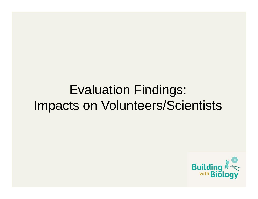### Evaluation Findings: Impacts on Volunteers/Scientists

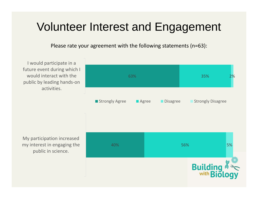#### Volunteer Interest and Engagement

Please rate your agreement with the following statements (n=63):

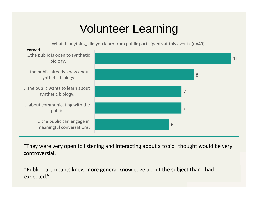### Volunteer Learning

What, if anything, did you learn from public participants at this event? (n=49)



"They were very open to listening and interacting about a topic I thought would be very controversial."

"Public participants knew more general knowledge about the subject than I had expected."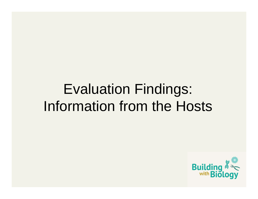# Evaluation Findings: Information from the Hosts